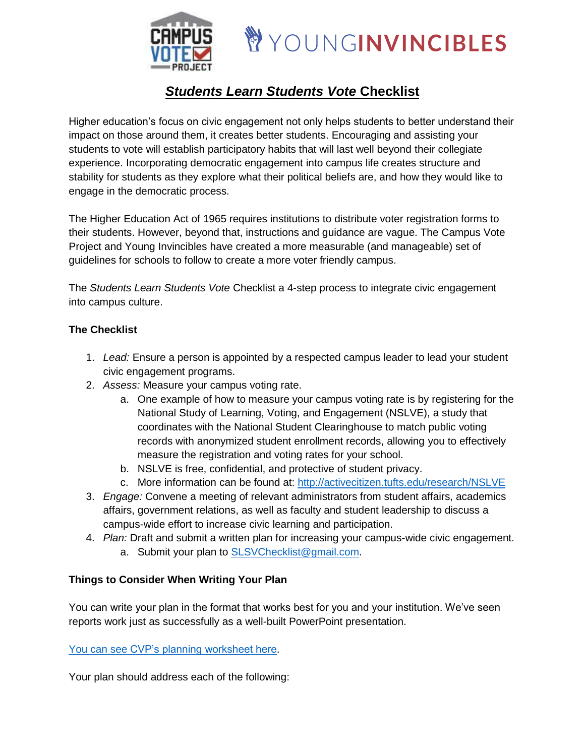



# *Students Learn Students Vote* **Checklist**

Higher education's focus on civic engagement not only helps students to better understand their impact on those around them, it creates better students. Encouraging and assisting your students to vote will establish participatory habits that will last well beyond their collegiate experience. Incorporating democratic engagement into campus life creates structure and stability for students as they explore what their political beliefs are, and how they would like to engage in the democratic process.

The Higher Education Act of 1965 requires institutions to distribute voter registration forms to their students. However, beyond that, instructions and guidance are vague. The Campus Vote Project and Young Invincibles have created a more measurable (and manageable) set of guidelines for schools to follow to create a more voter friendly campus.

The *Students Learn Students Vote* Checklist a 4-step process to integrate civic engagement into campus culture.

# **The Checklist**

- 1. *Lead:* Ensure a person is appointed by a respected campus leader to lead your student civic engagement programs.
- 2. *Assess:* Measure your campus voting rate.
	- a. One example of how to measure your campus voting rate is by registering for the National Study of Learning, Voting, and Engagement (NSLVE), a study that coordinates with the National Student Clearinghouse to match public voting records with anonymized student enrollment records, allowing you to effectively measure the registration and voting rates for your school.
	- b. NSLVE is free, confidential, and protective of student privacy.
	- c. More information can be found at: <http://activecitizen.tufts.edu/research/NSLVE>
- 3. *Engage:* Convene a meeting of relevant administrators from student affairs, academics affairs, government relations, as well as faculty and student leadership to discuss a campus-wide effort to increase civic learning and participation.
- 4. *Plan:* Draft and submit a written plan for increasing your campus-wide civic engagement. a. Submit your plan to [SLSVChecklist@gmail.com.](mailto:SLSVChecklist@gmail.com)

# **Things to Consider When Writing Your Plan**

You can write your plan in the format that works best for you and your institution. We've seen reports work just as successfully as a well-built PowerPoint presentation.

You can see [CVP's planning worksheet here.](http://campusvoteproject.org/wp-content/uploads/2016/01/CVP-Electoral-Engagement-Plan-Worksheet.pdf)

Your plan should address each of the following: